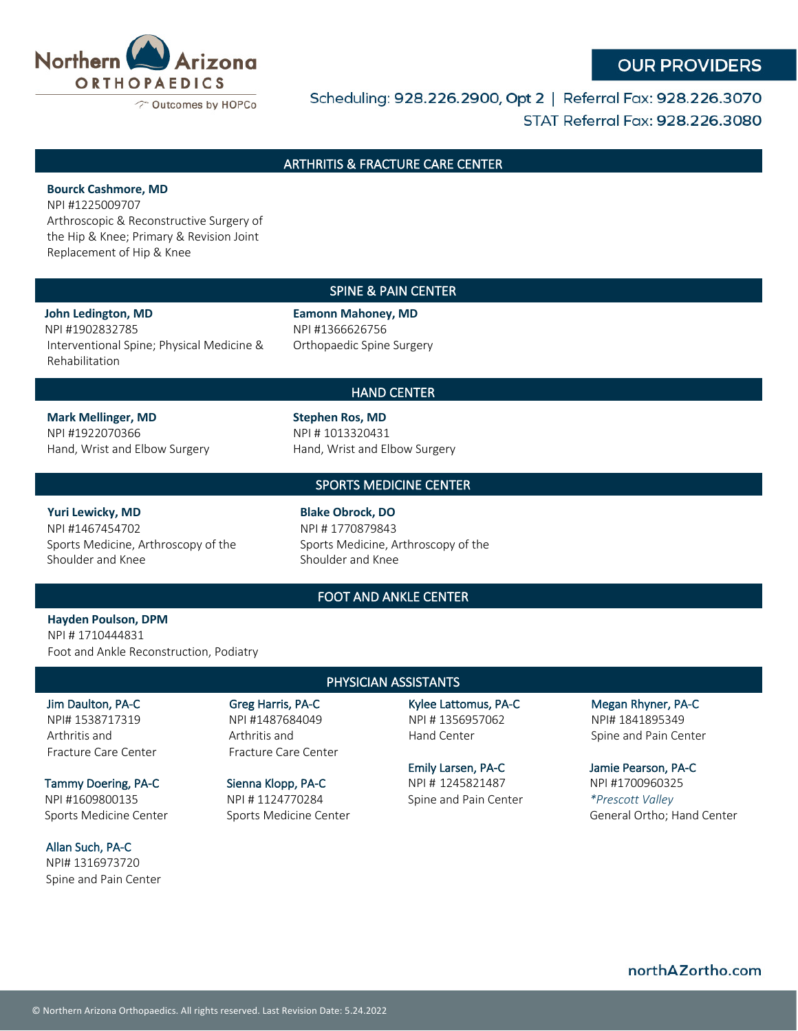

## **OUR PROVIDERS**

Scheduling: 928.226.2900, Opt 2 | Referral Fax: 928.226.3070 STAT Referral Fax: 928.226.3080

### ARTHRITIS & FRACTURE CARE CENTER

#### **Bourck Cashmore, MD**

NPI #1225009707

Arthroscopic & Reconstructive Surgery of the Hip & Knee; Primary & Revision Joint Replacement of Hip & Knee

#### SPINE & PAIN CENTER

**John Ledington, MD**  NPI #1902832785 Interventional Spine; Physical Medicine & Rehabilitation

**Eamonn Mahoney, MD**  NPI #1366626756 Orthopaedic Spine Surgery

#### HAND CENTER

**Mark Mellinger, MD** NPI #1922070366 Hand, Wrist and Elbow Surgery **Stephen Ros, MD** NPI # 1013320431 Hand, Wrist and Elbow Surgery

#### SPORTS MEDICINE CENTER

**Yuri Lewicky, MD**  NPI #1467454702 Sports Medicine, Arthroscopy of the Shoulder and Knee

**Blake Obrock, DO**  NPI # 1770879843 Sports Medicine, Arthroscopy of the Shoulder and Knee

### FOOT AND ANKLE CENTER

**Hayden Poulson, DPM** NPI # 1710444831 Foot and Ankle Reconstruction, Podiatry

# PHYSICIAN ASSISTANTS

Jim Daulton, PA-C NPI# 1538717319 Arthritis and Fracture Care Center

Tammy Doering, PA-C NPI #1609800135 Sports Medicine Center

Allan Such, PA-C NPI# 1316973720 Spine and Pain Center

Greg Harris, PA-C NPI #1487684049 Arthritis and Fracture Care Center

Sienna Klopp, PA-C

NPI # 1124770284 Sports Medicine Center

Kylee Lattomus, PA-C NPI # 1356957062 Hand Center

Emily Larsen, PA-C NPI # 1245821487 Spine and Pain Center Megan Rhyner, PA-C NPI# 1841895349 Spine and Pain Center

Jamie Pearson, PA-C NPI #1700960325 *\*Prescott Valley* General Ortho; Hand Center